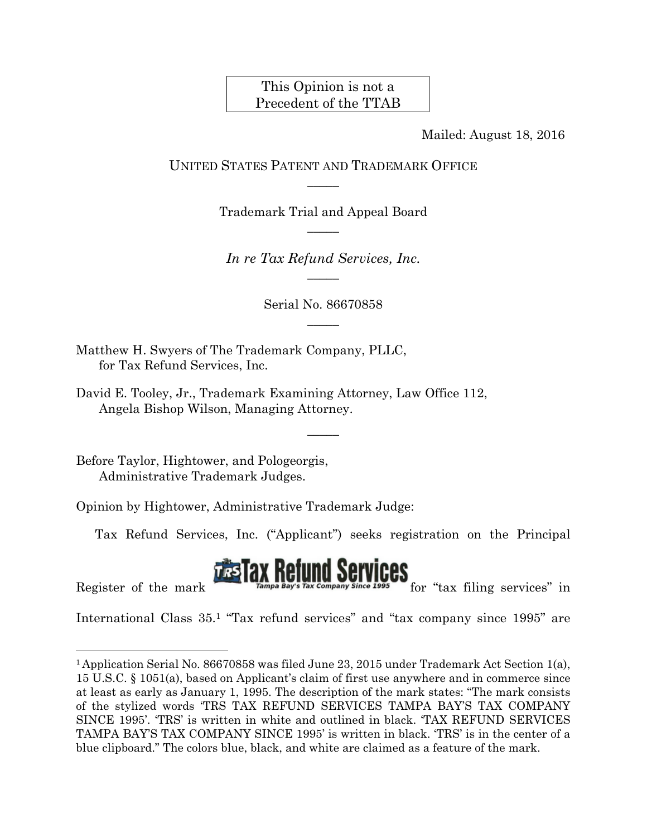## This Opinion is not a Precedent of the TTAB

Mailed: August 18, 2016

## UNITED STATES PATENT AND TRADEMARK OFFICE  $\overline{\phantom{a}}$

Trademark Trial and Appeal Board  $\overline{\phantom{a}}$ 

*In re Tax Refund Services, Inc.*   $\overline{\phantom{a}}$ 

> Serial No. 86670858  $\overline{\phantom{a}}$

> > $\overline{\phantom{a}}$

Matthew H. Swyers of The Trademark Company, PLLC, for Tax Refund Services, Inc.

David E. Tooley, Jr., Trademark Examining Attorney, Law Office 112, Angela Bishop Wilson, Managing Attorney.

Before Taylor, Hightower, and Pologeorgis, Administrative Trademark Judges.

Opinion by Hightower, Administrative Trademark Judge:

Tax Refund Services, Inc. ("Applicant") seeks registration on the Principal

## Restrict of the mark  $\frac{1}{2}$  Tax Refund Services  $\frac{1}{2}$  for "tax filing services" in

l

International Class 35.1 "Tax refund services" and "tax company since 1995" are

<sup>1</sup> Application Serial No. 86670858 was filed June 23, 2015 under Trademark Act Section 1(a), 15 U.S.C. § 1051(a), based on Applicant's claim of first use anywhere and in commerce since at least as early as January 1, 1995. The description of the mark states: "The mark consists of the stylized words 'TRS TAX REFUND SERVICES TAMPA BAY'S TAX COMPANY SINCE 1995'. 'TRS' is written in white and outlined in black. 'TAX REFUND SERVICES TAMPA BAY'S TAX COMPANY SINCE 1995' is written in black. 'TRS' is in the center of a blue clipboard." The colors blue, black, and white are claimed as a feature of the mark.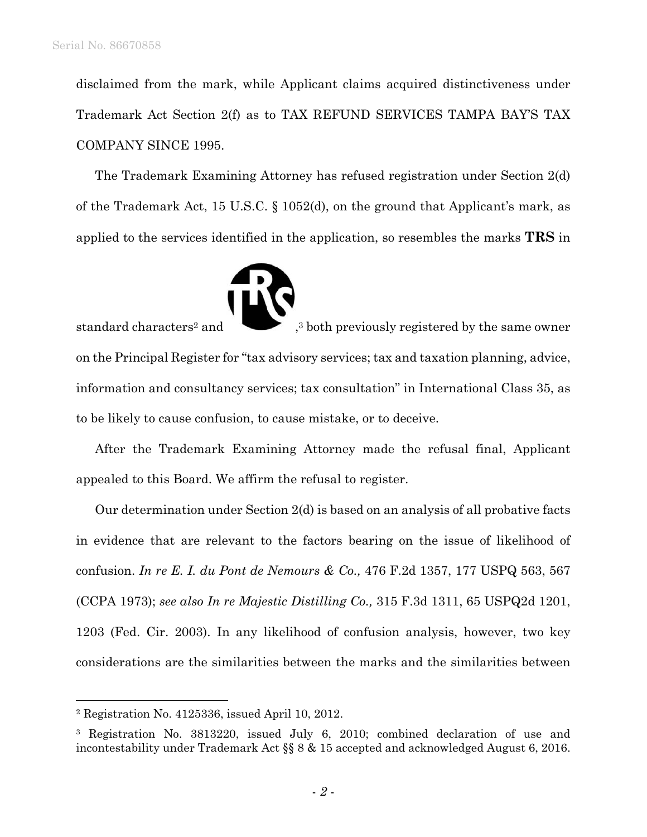disclaimed from the mark, while Applicant claims acquired distinctiveness under Trademark Act Section 2(f) as to TAX REFUND SERVICES TAMPA BAY'S TAX COMPANY SINCE 1995.

The Trademark Examining Attorney has refused registration under Section 2(d) of the Trademark Act, 15 U.S.C. § 1052(d), on the ground that Applicant's mark, as applied to the services identified in the application, so resembles the marks **TRS** in



standard characters<sup>2</sup> and  $\bullet$ ,<sup>3</sup> both previously registered by the same owner on the Principal Register for "tax advisory services; tax and taxation planning, advice, information and consultancy services; tax consultation" in International Class 35, as to be likely to cause confusion, to cause mistake, or to deceive.

After the Trademark Examining Attorney made the refusal final, Applicant appealed to this Board. We affirm the refusal to register.

Our determination under Section 2(d) is based on an analysis of all probative facts in evidence that are relevant to the factors bearing on the issue of likelihood of confusion. *In re E. I. du Pont de Nemours & Co.,* 476 F.2d 1357, 177 USPQ 563, 567 (CCPA 1973); *see also In re Majestic Distilling Co.,* 315 F.3d 1311, 65 USPQ2d 1201, 1203 (Fed. Cir. 2003). In any likelihood of confusion analysis, however, two key considerations are the similarities between the marks and the similarities between

l

<sup>2</sup> Registration No. 4125336, issued April 10, 2012.

<sup>3</sup> Registration No. 3813220, issued July 6, 2010; combined declaration of use and incontestability under Trademark Act §§ 8 & 15 accepted and acknowledged August 6, 2016.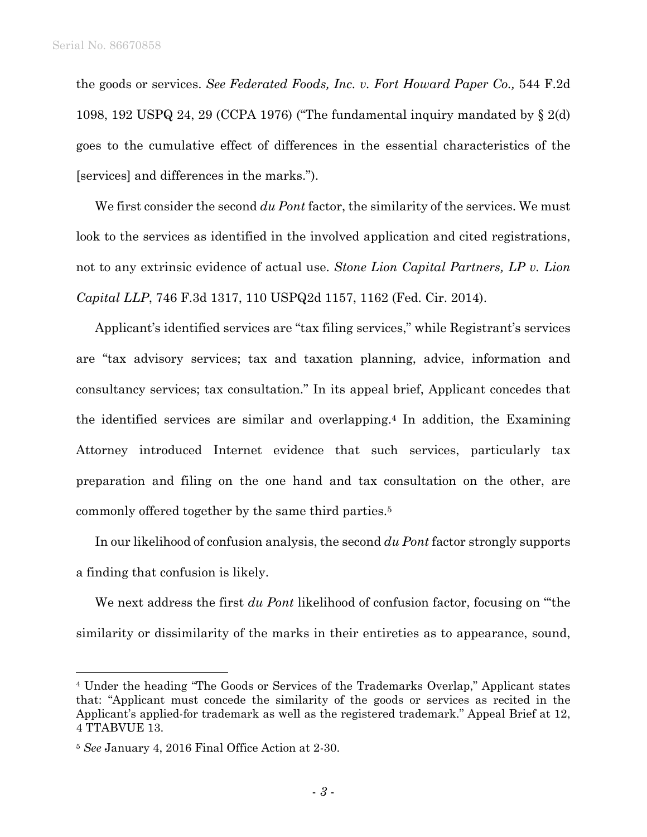the goods or services. *See Federated Foods, Inc. v. Fort Howard Paper Co.,* 544 F.2d 1098, 192 USPQ 24, 29 (CCPA 1976) ("The fundamental inquiry mandated by § 2(d) goes to the cumulative effect of differences in the essential characteristics of the [services] and differences in the marks.").

We first consider the second *du Pont* factor, the similarity of the services. We must look to the services as identified in the involved application and cited registrations, not to any extrinsic evidence of actual use. *Stone Lion Capital Partners, LP v. Lion Capital LLP*, 746 F.3d 1317, 110 USPQ2d 1157, 1162 (Fed. Cir. 2014).

Applicant's identified services are "tax filing services," while Registrant's services are "tax advisory services; tax and taxation planning, advice, information and consultancy services; tax consultation." In its appeal brief, Applicant concedes that the identified services are similar and overlapping.4 In addition, the Examining Attorney introduced Internet evidence that such services, particularly tax preparation and filing on the one hand and tax consultation on the other, are commonly offered together by the same third parties.5

In our likelihood of confusion analysis, the second *du Pont* factor strongly supports a finding that confusion is likely.

We next address the first *du Pont* likelihood of confusion factor, focusing on "'the similarity or dissimilarity of the marks in their entireties as to appearance, sound,

 $\overline{a}$ 

<sup>4</sup> Under the heading "The Goods or Services of the Trademarks Overlap," Applicant states that: "Applicant must concede the similarity of the goods or services as recited in the Applicant's applied-for trademark as well as the registered trademark." Appeal Brief at 12, 4 TTABVUE 13.

<sup>5</sup> *See* January 4, 2016 Final Office Action at 2-30.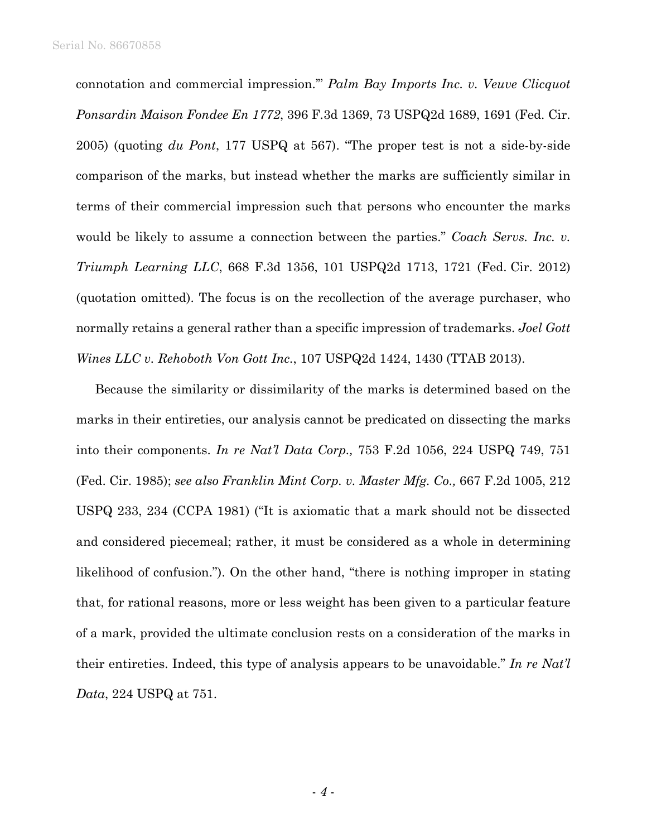connotation and commercial impression.'" *Palm Bay Imports Inc. v. Veuve Clicquot Ponsardin Maison Fondee En 1772*, 396 F.3d 1369, 73 USPQ2d 1689, 1691 (Fed. Cir. 2005) (quoting *du Pont*, 177 USPQ at 567). "The proper test is not a side-by-side comparison of the marks, but instead whether the marks are sufficiently similar in terms of their commercial impression such that persons who encounter the marks would be likely to assume a connection between the parties." *Coach Servs. Inc. v. Triumph Learning LLC*, 668 F.3d 1356, 101 USPQ2d 1713, 1721 (Fed. Cir. 2012) (quotation omitted). The focus is on the recollection of the average purchaser, who normally retains a general rather than a specific impression of trademarks. *Joel Gott Wines LLC v. Rehoboth Von Gott Inc.*, 107 USPQ2d 1424, 1430 (TTAB 2013).

Because the similarity or dissimilarity of the marks is determined based on the marks in their entireties, our analysis cannot be predicated on dissecting the marks into their components. *In re Nat'l Data Corp.,* 753 F.2d 1056, 224 USPQ 749, 751 (Fed. Cir. 1985); *see also Franklin Mint Corp. v. Master Mfg. Co.,* 667 F.2d 1005, 212 USPQ 233, 234 (CCPA 1981) ("It is axiomatic that a mark should not be dissected and considered piecemeal; rather, it must be considered as a whole in determining likelihood of confusion."). On the other hand, "there is nothing improper in stating that, for rational reasons, more or less weight has been given to a particular feature of a mark, provided the ultimate conclusion rests on a consideration of the marks in their entireties. Indeed, this type of analysis appears to be unavoidable." *In re Nat'l Data*, 224 USPQ at 751.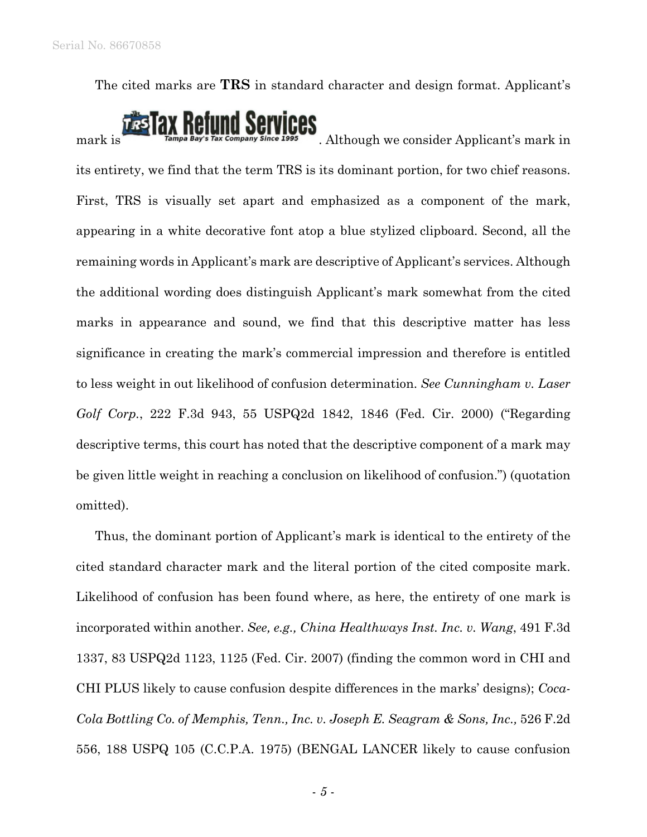The cited marks are **TRS** in standard character and design format. Applicant's

## $\pi$   $\pi$  is  $\pi$  ampa<sup>Bay's Tax Company since 1995</sup>. Although we consider Applicant's mark in

its entirety, we find that the term TRS is its dominant portion, for two chief reasons. First, TRS is visually set apart and emphasized as a component of the mark, appearing in a white decorative font atop a blue stylized clipboard. Second, all the remaining words in Applicant's mark are descriptive of Applicant's services. Although the additional wording does distinguish Applicant's mark somewhat from the cited marks in appearance and sound, we find that this descriptive matter has less significance in creating the mark's commercial impression and therefore is entitled to less weight in out likelihood of confusion determination. *See Cunningham v. Laser Golf Corp.*, 222 F.3d 943, 55 USPQ2d 1842, 1846 (Fed. Cir. 2000) ("Regarding descriptive terms, this court has noted that the descriptive component of a mark may be given little weight in reaching a conclusion on likelihood of confusion.") (quotation omitted).

Thus, the dominant portion of Applicant's mark is identical to the entirety of the cited standard character mark and the literal portion of the cited composite mark. Likelihood of confusion has been found where, as here, the entirety of one mark is incorporated within another. *See, e.g., China Healthways Inst. Inc. v. Wang*, 491 F.3d 1337, 83 USPQ2d 1123, 1125 (Fed. Cir. 2007) (finding the common word in CHI and CHI PLUS likely to cause confusion despite differences in the marks' designs); *Coca-Cola Bottling Co. of Memphis, Tenn., Inc. v. Joseph E. Seagram & Sons, Inc.,* 526 F.2d 556, 188 USPQ 105 (C.C.P.A. 1975) (BENGAL LANCER likely to cause confusion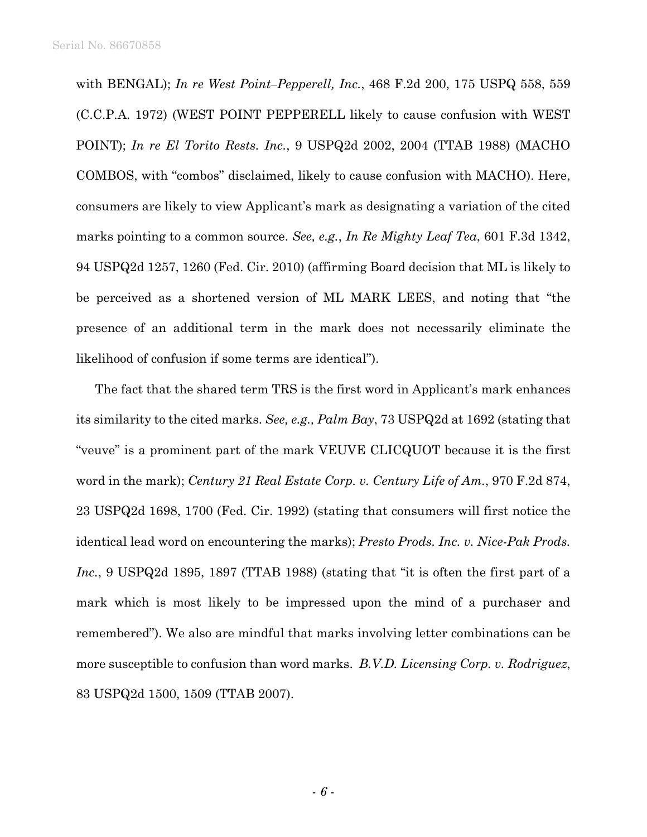with BENGAL); *In re West Point–Pepperell, Inc.*, 468 F.2d 200, 175 USPQ 558, 559 (C.C.P.A. 1972) (WEST POINT PEPPERELL likely to cause confusion with WEST POINT); *In re El Torito Rests. Inc.*, 9 USPQ2d 2002, 2004 (TTAB 1988) (MACHO COMBOS, with "combos" disclaimed, likely to cause confusion with MACHO). Here, consumers are likely to view Applicant's mark as designating a variation of the cited marks pointing to a common source. *See, e.g.*, *In Re Mighty Leaf Tea*, 601 F.3d 1342, 94 USPQ2d 1257, 1260 (Fed. Cir. 2010) (affirming Board decision that ML is likely to be perceived as a shortened version of ML MARK LEES, and noting that "the presence of an additional term in the mark does not necessarily eliminate the likelihood of confusion if some terms are identical").

The fact that the shared term TRS is the first word in Applicant's mark enhances its similarity to the cited marks. *See, e.g., Palm Bay*, 73 USPQ2d at 1692 (stating that "veuve" is a prominent part of the mark VEUVE CLICQUOT because it is the first word in the mark); *Century 21 Real Estate Corp. v. Century Life of Am.*, 970 F.2d 874, 23 USPQ2d 1698, 1700 (Fed. Cir. 1992) (stating that consumers will first notice the identical lead word on encountering the marks); *Presto Prods. Inc. v. Nice-Pak Prods. Inc.*, 9 USPQ2d 1895, 1897 (TTAB 1988) (stating that "it is often the first part of a mark which is most likely to be impressed upon the mind of a purchaser and remembered"). We also are mindful that marks involving letter combinations can be more susceptible to confusion than word marks. *B.V.D. Licensing Corp. v. Rodriguez*, 83 USPQ2d 1500, 1509 (TTAB 2007).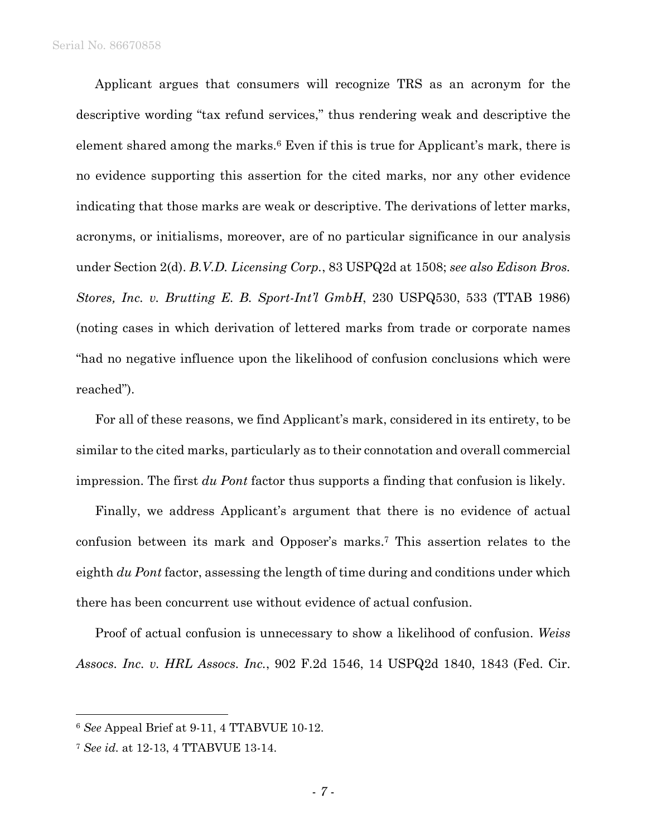Applicant argues that consumers will recognize TRS as an acronym for the descriptive wording "tax refund services," thus rendering weak and descriptive the element shared among the marks.6 Even if this is true for Applicant's mark, there is no evidence supporting this assertion for the cited marks, nor any other evidence indicating that those marks are weak or descriptive. The derivations of letter marks, acronyms, or initialisms, moreover, are of no particular significance in our analysis under Section 2(d). *B.V.D. Licensing Corp.*, 83 USPQ2d at 1508; *see also Edison Bros. Stores, Inc. v. Brutting E. B. Sport-Int'l GmbH*, 230 USPQ530, 533 (TTAB 1986) (noting cases in which derivation of lettered marks from trade or corporate names "had no negative influence upon the likelihood of confusion conclusions which were reached").

For all of these reasons, we find Applicant's mark, considered in its entirety, to be similar to the cited marks, particularly as to their connotation and overall commercial impression. The first *du Pont* factor thus supports a finding that confusion is likely.

Finally, we address Applicant's argument that there is no evidence of actual confusion between its mark and Opposer's marks.7 This assertion relates to the eighth *du Pont* factor, assessing the length of time during and conditions under which there has been concurrent use without evidence of actual confusion.

Proof of actual confusion is unnecessary to show a likelihood of confusion. *Weiss Assocs. Inc. v. HRL Assocs. Inc.*, 902 F.2d 1546, 14 USPQ2d 1840, 1843 (Fed. Cir.

1

<sup>6</sup> *See* Appeal Brief at 9-11, 4 TTABVUE 10-12.

<sup>7</sup> *See id.* at 12-13, 4 TTABVUE 13-14.